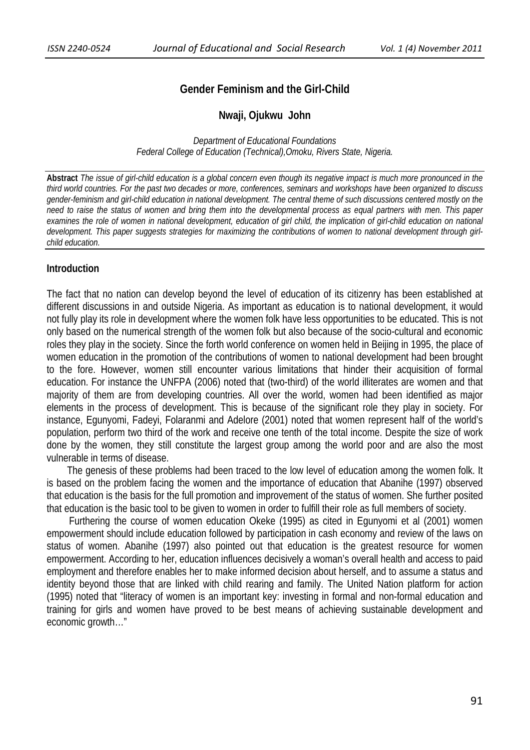# **Gender Feminism and the Girl-Child**

### **Nwaji, Ojukwu John**

*Department of Educational Foundations Federal College of Education (Technical),Omoku, Rivers State, Nigeria.* 

**Abstract** *The issue of girl-child education is a global concern even though its negative impact is much more pronounced in the third world countries. For the past two decades or more, conferences, seminars and workshops have been organized to discuss gender-feminism and girl-child education in national development. The central theme of such discussions centered mostly on the need to raise the status of women and bring them into the developmental process as equal partners with men. This paper*  examines the role of women in national development, education of girl child, the implication of girl-child education on national *development. This paper suggests strategies for maximizing the contributions of women to national development through girlchild education.* 

### **Introduction**

The fact that no nation can develop beyond the level of education of its citizenry has been established at different discussions in and outside Nigeria. As important as education is to national development, it would not fully play its role in development where the women folk have less opportunities to be educated. This is not only based on the numerical strength of the women folk but also because of the socio-cultural and economic roles they play in the society. Since the forth world conference on women held in Beijing in 1995, the place of women education in the promotion of the contributions of women to national development had been brought to the fore. However, women still encounter various limitations that hinder their acquisition of formal education. For instance the UNFPA (2006) noted that (two-third) of the world illiterates are women and that majority of them are from developing countries. All over the world, women had been identified as major elements in the process of development. This is because of the significant role they play in society. For instance, Egunyomi, Fadeyi, Folaranmi and Adelore (2001) noted that women represent half of the world's population, perform two third of the work and receive one tenth of the total income. Despite the size of work done by the women, they still constitute the largest group among the world poor and are also the most vulnerable in terms of disease.

 The genesis of these problems had been traced to the low level of education among the women folk. It is based on the problem facing the women and the importance of education that Abanihe (1997) observed that education is the basis for the full promotion and improvement of the status of women. She further posited that education is the basic tool to be given to women in order to fulfill their role as full members of society.

 Furthering the course of women education Okeke (1995) as cited in Egunyomi et al (2001) women empowerment should include education followed by participation in cash economy and review of the laws on status of women. Abanihe (1997) also pointed out that education is the greatest resource for women empowerment. According to her, education influences decisively a woman's overall health and access to paid employment and therefore enables her to make informed decision about herself, and to assume a status and identity beyond those that are linked with child rearing and family. The United Nation platform for action (1995) noted that "literacy of women is an important key: investing in formal and non-formal education and training for girls and women have proved to be best means of achieving sustainable development and economic growth…"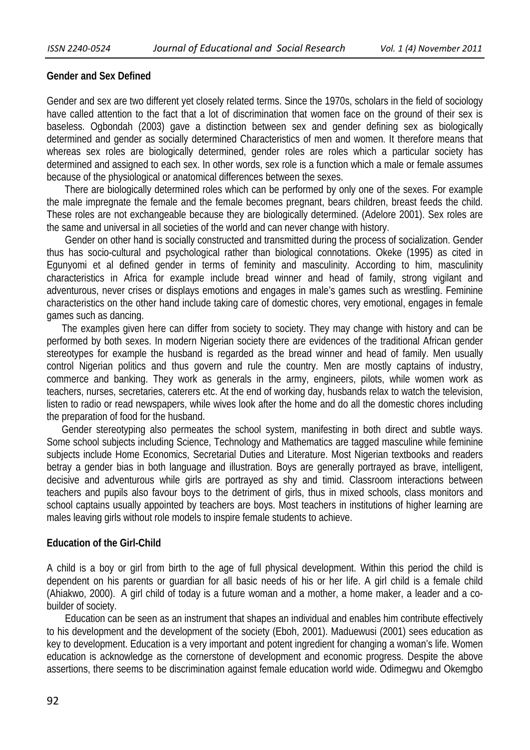# **Gender and Sex Defined**

Gender and sex are two different yet closely related terms. Since the 1970s, scholars in the field of sociology have called attention to the fact that a lot of discrimination that women face on the ground of their sex is baseless. Ogbondah (2003) gave a distinction between sex and gender defining sex as biologically determined and gender as socially determined Characteristics of men and women. It therefore means that whereas sex roles are biologically determined, gender roles are roles which a particular society has determined and assigned to each sex. In other words, sex role is a function which a male or female assumes because of the physiological or anatomical differences between the sexes.

 There are biologically determined roles which can be performed by only one of the sexes. For example the male impregnate the female and the female becomes pregnant, bears children, breast feeds the child. These roles are not exchangeable because they are biologically determined. (Adelore 2001). Sex roles are the same and universal in all societies of the world and can never change with history.

 Gender on other hand is socially constructed and transmitted during the process of socialization. Gender thus has socio-cultural and psychological rather than biological connotations. Okeke (1995) as cited in Egunyomi et al defined gender in terms of feminity and masculinity. According to him, masculinity characteristics in Africa for example include bread winner and head of family, strong vigilant and adventurous, never crises or displays emotions and engages in male's games such as wrestling. Feminine characteristics on the other hand include taking care of domestic chores, very emotional, engages in female games such as dancing.

 The examples given here can differ from society to society. They may change with history and can be performed by both sexes. In modern Nigerian society there are evidences of the traditional African gender stereotypes for example the husband is regarded as the bread winner and head of family. Men usually control Nigerian politics and thus govern and rule the country. Men are mostly captains of industry, commerce and banking. They work as generals in the army, engineers, pilots, while women work as teachers, nurses, secretaries, caterers etc. At the end of working day, husbands relax to watch the television, listen to radio or read newspapers, while wives look after the home and do all the domestic chores including the preparation of food for the husband.

 Gender stereotyping also permeates the school system, manifesting in both direct and subtle ways. Some school subjects including Science, Technology and Mathematics are tagged masculine while feminine subjects include Home Economics, Secretarial Duties and Literature. Most Nigerian textbooks and readers betray a gender bias in both language and illustration. Boys are generally portrayed as brave, intelligent, decisive and adventurous while girls are portrayed as shy and timid. Classroom interactions between teachers and pupils also favour boys to the detriment of girls, thus in mixed schools, class monitors and school captains usually appointed by teachers are boys. Most teachers in institutions of higher learning are males leaving girls without role models to inspire female students to achieve.

# **Education of the Girl-Child**

A child is a boy or girl from birth to the age of full physical development. Within this period the child is dependent on his parents or guardian for all basic needs of his or her life. A girl child is a female child (Ahiakwo, 2000). A girl child of today is a future woman and a mother, a home maker, a leader and a cobuilder of society.

 Education can be seen as an instrument that shapes an individual and enables him contribute effectively to his development and the development of the society (Eboh, 2001). Maduewusi (2001) sees education as key to development. Education is a very important and potent ingredient for changing a woman's life. Women education is acknowledge as the cornerstone of development and economic progress. Despite the above assertions, there seems to be discrimination against female education world wide. Odimegwu and Okemgbo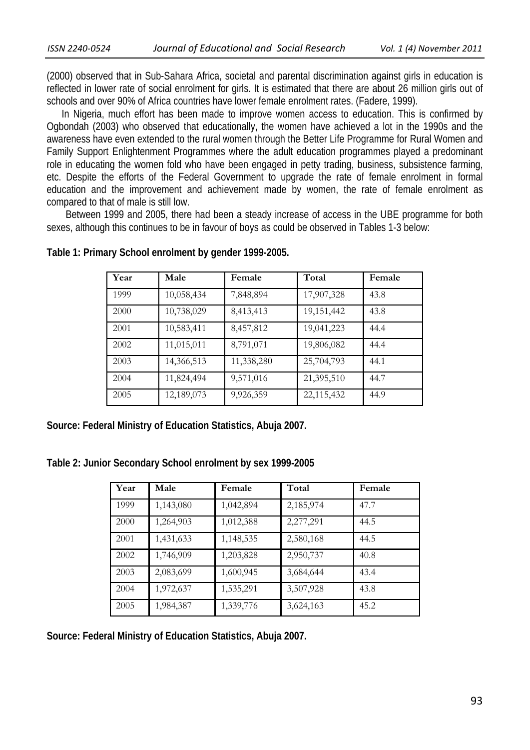(2000) observed that in Sub-Sahara Africa, societal and parental discrimination against girls in education is reflected in lower rate of social enrolment for girls. It is estimated that there are about 26 million girls out of schools and over 90% of Africa countries have lower female enrolment rates. (Fadere, 1999).

 In Nigeria, much effort has been made to improve women access to education. This is confirmed by Ogbondah (2003) who observed that educationally, the women have achieved a lot in the 1990s and the awareness have even extended to the rural women through the Better Life Programme for Rural Women and Family Support Enlightenment Programmes where the adult education programmes played a predominant role in educating the women fold who have been engaged in petty trading, business, subsistence farming, etc. Despite the efforts of the Federal Government to upgrade the rate of female enrolment in formal education and the improvement and achievement made by women, the rate of female enrolment as compared to that of male is still low.

 Between 1999 and 2005, there had been a steady increase of access in the UBE programme for both sexes, although this continues to be in favour of boys as could be observed in Tables 1-3 below:

| Year | Male       | Female     | Total      | Female |
|------|------------|------------|------------|--------|
| 1999 | 10,058,434 | 7,848,894  | 17,907,328 | 43.8   |
| 2000 | 10,738,029 | 8,413,413  | 19,151,442 | 43.8   |
| 2001 | 10,583,411 | 8,457,812  | 19,041,223 | 44.4   |
| 2002 | 11,015,011 | 8,791,071  | 19,806,082 | 44.4   |
| 2003 | 14,366,513 | 11,338,280 | 25,704,793 | 44.1   |
| 2004 | 11,824,494 | 9,571,016  | 21,395,510 | 44.7   |
| 2005 | 12,189,073 | 9,926,359  | 22,115,432 | 44.9   |

**Table 1: Primary School enrolment by gender 1999-2005.**

**Source: Federal Ministry of Education Statistics, Abuja 2007.**

**Table 2: Junior Secondary School enrolment by sex 1999-2005**

| Year | Male      | Female    | Total     | Female |
|------|-----------|-----------|-----------|--------|
| 1999 | 1,143,080 | 1,042,894 | 2,185,974 | 47.7   |
| 2000 | 1,264,903 | 1,012,388 | 2,277,291 | 44.5   |
| 2001 | 1,431,633 | 1,148,535 | 2,580,168 | 44.5   |
| 2002 | 1,746,909 | 1,203,828 | 2,950,737 | 40.8   |
| 2003 | 2,083,699 | 1,600,945 | 3,684,644 | 43.4   |
| 2004 | 1,972,637 | 1,535,291 | 3,507,928 | 43.8   |
| 2005 | 1,984,387 | 1,339,776 | 3,624,163 | 45.2   |

**Source: Federal Ministry of Education Statistics, Abuja 2007.**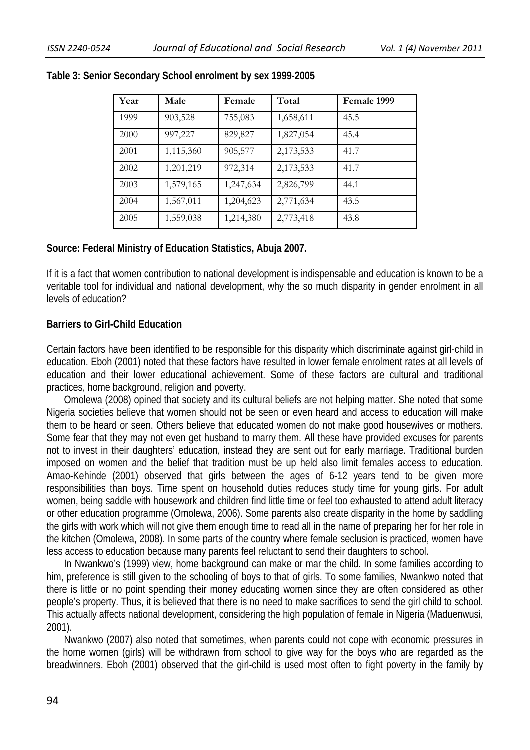| Year | Male      | Female    | Total     | Female 1999 |
|------|-----------|-----------|-----------|-------------|
| 1999 | 903,528   | 755,083   | 1,658,611 | 45.5        |
| 2000 | 997,227   | 829,827   | 1,827,054 | 45.4        |
| 2001 | 1,115,360 | 905,577   | 2,173,533 | 41.7        |
| 2002 | 1,201,219 | 972,314   | 2,173,533 | 41.7        |
| 2003 | 1,579,165 | 1,247,634 | 2,826,799 | 44.1        |
| 2004 | 1,567,011 | 1,204,623 | 2,771,634 | 43.5        |
| 2005 | 1,559,038 | 1,214,380 | 2,773,418 | 43.8        |

### **Table 3: Senior Secondary School enrolment by sex 1999-2005**

# **Source: Federal Ministry of Education Statistics, Abuja 2007.**

If it is a fact that women contribution to national development is indispensable and education is known to be a veritable tool for individual and national development, why the so much disparity in gender enrolment in all levels of education?

### **Barriers to Girl-Child Education**

Certain factors have been identified to be responsible for this disparity which discriminate against girl-child in education. Eboh (2001) noted that these factors have resulted in lower female enrolment rates at all levels of education and their lower educational achievement. Some of these factors are cultural and traditional practices, home background, religion and poverty.

 Omolewa (2008) opined that society and its cultural beliefs are not helping matter. She noted that some Nigeria societies believe that women should not be seen or even heard and access to education will make them to be heard or seen. Others believe that educated women do not make good housewives or mothers. Some fear that they may not even get husband to marry them. All these have provided excuses for parents not to invest in their daughters' education, instead they are sent out for early marriage. Traditional burden imposed on women and the belief that tradition must be up held also limit females access to education. Amao-Kehinde (2001) observed that girls between the ages of 6-12 years tend to be given more responsibilities than boys. Time spent on household duties reduces study time for young girls. For adult women, being saddle with housework and children find little time or feel too exhausted to attend adult literacy or other education programme (Omolewa, 2006). Some parents also create disparity in the home by saddling the girls with work which will not give them enough time to read all in the name of preparing her for her role in the kitchen (Omolewa, 2008). In some parts of the country where female seclusion is practiced, women have less access to education because many parents feel reluctant to send their daughters to school.

 In Nwankwo's (1999) view, home background can make or mar the child. In some families according to him, preference is still given to the schooling of boys to that of girls. To some families, Nwankwo noted that there is little or no point spending their money educating women since they are often considered as other people's property. Thus, it is believed that there is no need to make sacrifices to send the girl child to school. This actually affects national development, considering the high population of female in Nigeria (Maduenwusi, 2001).

 Nwankwo (2007) also noted that sometimes, when parents could not cope with economic pressures in the home women (girls) will be withdrawn from school to give way for the boys who are regarded as the breadwinners. Eboh (2001) observed that the girl-child is used most often to fight poverty in the family by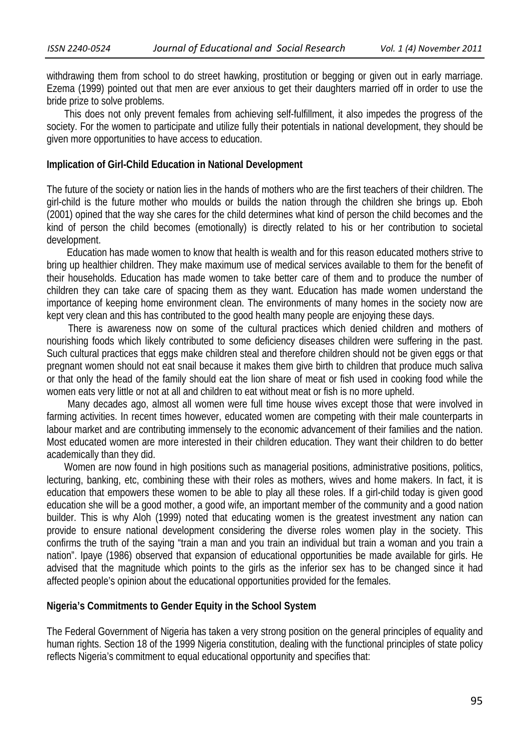withdrawing them from school to do street hawking, prostitution or begging or given out in early marriage. Ezema (1999) pointed out that men are ever anxious to get their daughters married off in order to use the bride prize to solve problems.

 This does not only prevent females from achieving self-fulfillment, it also impedes the progress of the society. For the women to participate and utilize fully their potentials in national development, they should be given more opportunities to have access to education.

#### **Implication of Girl-Child Education in National Development**

The future of the society or nation lies in the hands of mothers who are the first teachers of their children. The girl-child is the future mother who moulds or builds the nation through the children she brings up. Eboh (2001) opined that the way she cares for the child determines what kind of person the child becomes and the kind of person the child becomes (emotionally) is directly related to his or her contribution to societal development.

 Education has made women to know that health is wealth and for this reason educated mothers strive to bring up healthier children. They make maximum use of medical services available to them for the benefit of their households. Education has made women to take better care of them and to produce the number of children they can take care of spacing them as they want. Education has made women understand the importance of keeping home environment clean. The environments of many homes in the society now are kept very clean and this has contributed to the good health many people are enjoying these days.

 There is awareness now on some of the cultural practices which denied children and mothers of nourishing foods which likely contributed to some deficiency diseases children were suffering in the past. Such cultural practices that eggs make children steal and therefore children should not be given eggs or that pregnant women should not eat snail because it makes them give birth to children that produce much saliva or that only the head of the family should eat the lion share of meat or fish used in cooking food while the women eats very little or not at all and children to eat without meat or fish is no more upheld.

 Many decades ago, almost all women were full time house wives except those that were involved in farming activities. In recent times however, educated women are competing with their male counterparts in labour market and are contributing immensely to the economic advancement of their families and the nation. Most educated women are more interested in their children education. They want their children to do better academically than they did.

 Women are now found in high positions such as managerial positions, administrative positions, politics, lecturing, banking, etc, combining these with their roles as mothers, wives and home makers. In fact, it is education that empowers these women to be able to play all these roles. If a girl-child today is given good education she will be a good mother, a good wife, an important member of the community and a good nation builder. This is why Aloh (1999) noted that educating women is the greatest investment any nation can provide to ensure national development considering the diverse roles women play in the society. This confirms the truth of the saying "train a man and you train an individual but train a woman and you train a nation". Ipaye (1986) observed that expansion of educational opportunities be made available for girls. He advised that the magnitude which points to the girls as the inferior sex has to be changed since it had affected people's opinion about the educational opportunities provided for the females.

#### **Nigeria's Commitments to Gender Equity in the School System**

The Federal Government of Nigeria has taken a very strong position on the general principles of equality and human rights. Section 18 of the 1999 Nigeria constitution, dealing with the functional principles of state policy reflects Nigeria's commitment to equal educational opportunity and specifies that: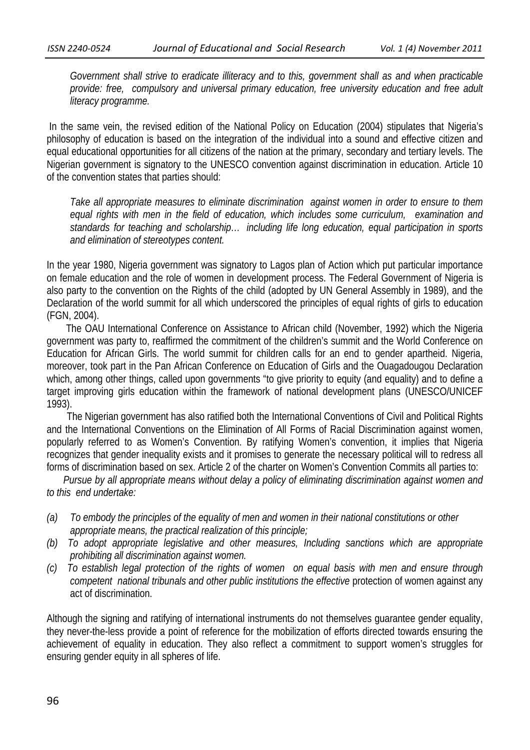*Government shall strive to eradicate illiteracy and to this, government shall as and when practicable provide: free, compulsory and universal primary education, free university education and free adult literacy programme.* 

 In the same vein, the revised edition of the National Policy on Education (2004) stipulates that Nigeria's philosophy of education is based on the integration of the individual into a sound and effective citizen and equal educational opportunities for all citizens of the nation at the primary, secondary and tertiary levels. The Nigerian government is signatory to the UNESCO convention against discrimination in education. Article 10 of the convention states that parties should:

*Take all appropriate measures to eliminate discrimination against women in order to ensure to them equal rights with men in the field of education, which includes some curriculum, examination and standards for teaching and scholarship… including life long education, equal participation in sports and elimination of stereotypes content.*

In the year 1980, Nigeria government was signatory to Lagos plan of Action which put particular importance on female education and the role of women in development process. The Federal Government of Nigeria is also party to the convention on the Rights of the child (adopted by UN General Assembly in 1989), and the Declaration of the world summit for all which underscored the principles of equal rights of girls to education (FGN, 2004).

 The OAU International Conference on Assistance to African child (November, 1992) which the Nigeria government was party to, reaffirmed the commitment of the children's summit and the World Conference on Education for African Girls. The world summit for children calls for an end to gender apartheid. Nigeria, moreover, took part in the Pan African Conference on Education of Girls and the Ouagadougou Declaration which, among other things, called upon governments "to give priority to equity (and equality) and to define a target improving girls education within the framework of national development plans (UNESCO/UNICEF 1993).

 The Nigerian government has also ratified both the International Conventions of Civil and Political Rights and the International Conventions on the Elimination of All Forms of Racial Discrimination against women, popularly referred to as Women's Convention. By ratifying Women's convention, it implies that Nigeria recognizes that gender inequality exists and it promises to generate the necessary political will to redress all forms of discrimination based on sex. Article 2 of the charter on Women's Convention Commits all parties to:

 *Pursue by all appropriate means without delay a policy of eliminating discrimination against women and to this end undertake:* 

- *(a) To embody the principles of the equality of men and women in their national constitutions or other appropriate means, the practical realization of this principle;*
- *(b) To adopt appropriate legislative and other measures, Including sanctions which are appropriate prohibiting all discrimination against women.*
- *(c) To establish legal protection of the rights of women on equal basis with men and ensure through competent national tribunals and other public institutions the effective* protection of women against any act of discrimination.

Although the signing and ratifying of international instruments do not themselves guarantee gender equality, they never-the-less provide a point of reference for the mobilization of efforts directed towards ensuring the achievement of equality in education. They also reflect a commitment to support women's struggles for ensuring gender equity in all spheres of life.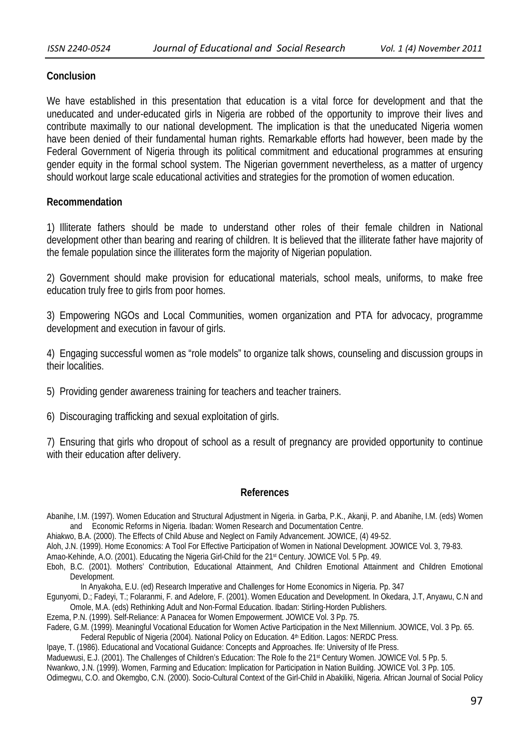# **Conclusion**

We have established in this presentation that education is a vital force for development and that the uneducated and under-educated girls in Nigeria are robbed of the opportunity to improve their lives and contribute maximally to our national development. The implication is that the uneducated Nigeria women have been denied of their fundamental human rights. Remarkable efforts had however, been made by the Federal Government of Nigeria through its political commitment and educational programmes at ensuring gender equity in the formal school system. The Nigerian government nevertheless, as a matter of urgency should workout large scale educational activities and strategies for the promotion of women education.

# **Recommendation**

1) Illiterate fathers should be made to understand other roles of their female children in National development other than bearing and rearing of children. It is believed that the illiterate father have majority of the female population since the illiterates form the majority of Nigerian population.

2) Government should make provision for educational materials, school meals, uniforms, to make free education truly free to girls from poor homes.

3) Empowering NGOs and Local Communities, women organization and PTA for advocacy, programme development and execution in favour of girls.

4) Engaging successful women as "role models" to organize talk shows, counseling and discussion groups in their localities.

5) Providing gender awareness training for teachers and teacher trainers.

6) Discouraging trafficking and sexual exploitation of girls.

7) Ensuring that girls who dropout of school as a result of pregnancy are provided opportunity to continue with their education after delivery.

# **References**

Abanihe, I.M. (1997). Women Education and Structural Adjustment in Nigeria. in Garba, P.K., Akanji, P. and Abanihe, I.M. (eds) Women and Economic Reforms in Nigeria. Ibadan: Women Research and Documentation Centre.

Ahiakwo, B.A. (2000). The Effects of Child Abuse and Neglect on Family Advancement. JOWICE, (4) 49-52.

Aloh, J.N. (1999). Home Economics: A Tool For Effective Participation of Women in National Development. JOWICE Vol. 3, 79-83.

Amao-Kehinde, A.O. (2001). Educating the Nigeria Girl-Child for the 21st Century. JOWICE Vol. 5 Pp. 49.

Eboh, B.C. (2001). Mothers' Contribution, Educational Attainment, And Children Emotional Attainment and Children Emotional Development.

In Anyakoha, E.U. (ed) Research Imperative and Challenges for Home Economics in Nigeria. Pp. 347

Egunyomi, D.; Fadeyi, T.; Folaranmi, F. and Adelore, F. (2001). Women Education and Development. In Okedara, J.T, Anyawu, C.N and Omole, M.A. (eds) Rethinking Adult and Non-Formal Education. Ibadan: Stirling-Horden Publishers.

Ezema, P.N. (1999). Self-Reliance: A Panacea for Women Empowerment. JOWICE Vol. 3 Pp. 75.

Fadere, G.M. (1999). Meaningful Vocational Education for Women Active Participation in the Next Millennium. JOWICE, Vol. 3 Pp. 65. Federal Republic of Nigeria (2004). National Policy on Education. 4<sup>th</sup> Edition. Lagos: NERDC Press.

Ipaye, T. (1986). Educational and Vocational Guidance: Concepts and Approaches. Ife: University of Ife Press.

Maduewusi, E.J. (2001). The Challenges of Children's Education: The Role fo the 21<sup>st</sup> Century Women. JOWICE Vol. 5 Pp. 5.

Nwankwo, J.N. (1999). Women, Farming and Education: Implication for Participation in Nation Building. JOWICE Vol. 3 Pp. 105.

Odimegwu, C.O. and Okemgbo, C.N. (2000). Socio-Cultural Context of the Girl-Child in Abakiliki, Nigeria. African Journal of Social Policy